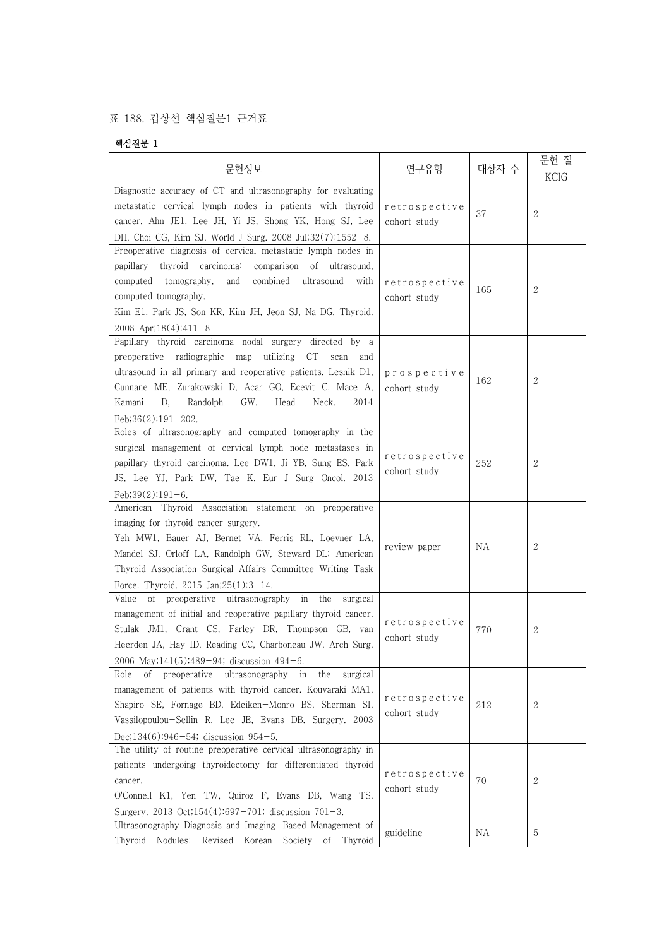## 표 188. 갑상선 핵심질문1 근거표

## 핵심질문 1

| 핵심질눈 1                                                                                                                                                                                                                                                                                                                                  |                               |       |                     |
|-----------------------------------------------------------------------------------------------------------------------------------------------------------------------------------------------------------------------------------------------------------------------------------------------------------------------------------------|-------------------------------|-------|---------------------|
| 문헌정보                                                                                                                                                                                                                                                                                                                                    | 연구유형                          | 대상자 수 | 문헌 질<br><b>KCIG</b> |
| Diagnostic accuracy of CT and ultrasonography for evaluating<br>metastatic cervical lymph nodes in patients with thyroid<br>cancer. Ahn JE1, Lee JH, Yi JS, Shong YK, Hong SJ, Lee<br>DH, Choi CG, Kim SJ. World J Surg. 2008 Jul;32(7):1552-8.                                                                                         | retrospective<br>cohort study | 37    | $\boldsymbol{2}$    |
| Preoperative diagnosis of cervical metastatic lymph nodes in<br>papillary thyroid carcinoma:<br>comparison of ultrasound,<br>computed<br>tomography,<br>and<br>combined<br>ultrasound<br>with<br>computed tomography.<br>Kim E1, Park JS, Son KR, Kim JH, Jeon SJ, Na DG. Thyroid.<br>2008 Apr; $18(4):411-8$                           | retrospective<br>cohort study | 165   | $\mathbf{2}$        |
| Papillary thyroid carcinoma nodal surgery directed by a<br>preoperative radiographic map utilizing CT<br>scan and<br>ultrasound in all primary and reoperative patients. Lesnik D1,<br>Cunnane ME, Zurakowski D, Acar GO, Ecevit C, Mace A,<br>Kamani<br>D,<br>Randolph<br>GW.<br>2014<br>Head<br>Neck.<br>Feb; $36(2)$ : $191 - 202$ . | prospective<br>cohort study   | 162   | $\boldsymbol{2}$    |
| Roles of ultrasonography and computed tomography in the<br>surgical management of cervical lymph node metastases in<br>papillary thyroid carcinoma. Lee DW1, Ji YB, Sung ES, Park<br>JS, Lee YJ, Park DW, Tae K. Eur J Surg Oncol. 2013<br>Feb; $39(2)$ : $191-6$ .                                                                     | retrospective<br>cohort study | 252   | $\boldsymbol{2}$    |
| American Thyroid Association statement on preoperative<br>imaging for thyroid cancer surgery.<br>Yeh MW1, Bauer AJ, Bernet VA, Ferris RL, Loevner LA,<br>Mandel SJ, Orloff LA, Randolph GW, Steward DL; American<br>Thyroid Association Surgical Affairs Committee Writing Task<br>Force. Thyroid. 2015 Jan;25(1):3-14.                 | review paper                  | ΝA    | $\mathbf{2}$        |
| of preoperative ultrasonography in the<br>Value<br>surgical<br>management of initial and reoperative papillary thyroid cancer.<br>Stulak JM1, Grant CS, Farley DR, Thompson GB, van<br>Heerden JA, Hay ID, Reading CC, Charboneau JW. Arch Surg.<br>2006 May; $141(5):489-94$ ; discussion $494-6$ .                                    | retrospective<br>cohort study | 770   | $\mathbf{2}$        |
| of preoperative ultrasonography<br>Role<br>in<br>the<br>surgical<br>management of patients with thyroid cancer. Kouvaraki MA1,<br>Shapiro SE, Fornage BD, Edeiken-Monro BS, Sherman SI,<br>Vassilopoulou-Sellin R, Lee JE, Evans DB. Surgery. 2003<br>Dec; $134(6)$ : $946-54$ ; discussion $954-5$ .                                   | retrospective<br>cohort study | 212   | 2                   |
| The utility of routine preoperative cervical ultrasonography in<br>patients undergoing thyroidectomy for differentiated thyroid<br>cancer.<br>O'Connell K1, Yen TW, Quiroz F, Evans DB, Wang TS.<br>Surgery. 2013 Oct;154(4):697-701; discussion $701-3$ .                                                                              | retrospective<br>cohort study | 70    | 2                   |
| Ultrasonography Diagnosis and Imaging-Based Management of<br>Thyroid Nodules: Revised Korean Society of Thyroid                                                                                                                                                                                                                         | guideline                     | NA    | 5                   |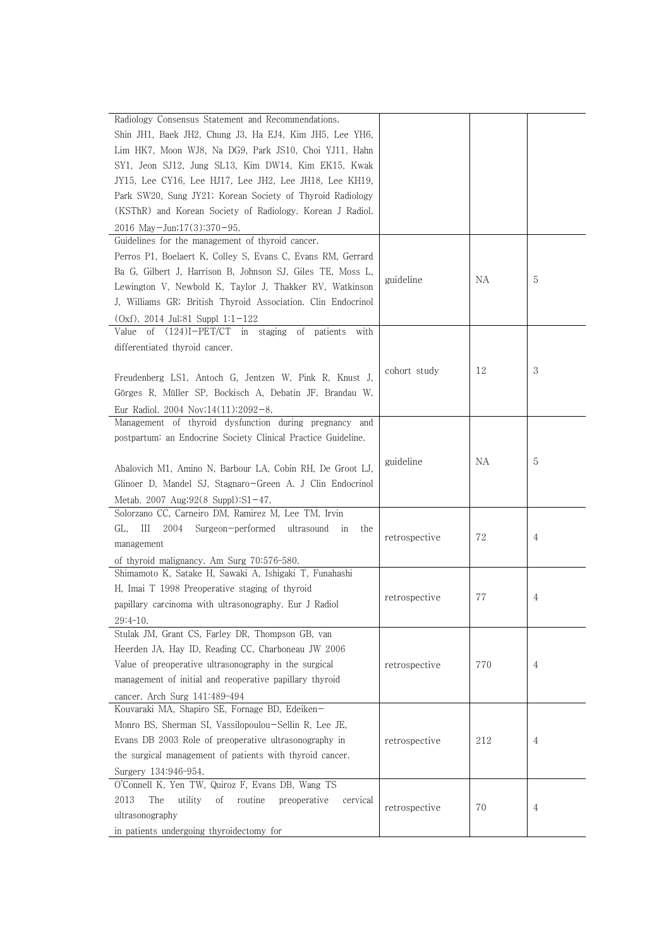| Radiology Consensus Statement and Recommendations.                                        |               |     |   |
|-------------------------------------------------------------------------------------------|---------------|-----|---|
| Shin JH1, Baek JH2, Chung J3, Ha EJ4, Kim JH5, Lee YH6,                                   |               |     |   |
| Lim HK7, Moon WJ8, Na DG9, Park JS10, Choi YJ11, Hahn                                     |               |     |   |
| SY1, Jeon SJ12, Jung SL13, Kim DW14, Kim EK15, Kwak                                       |               |     |   |
|                                                                                           |               |     |   |
| JY15, Lee CY16, Lee HJ17, Lee JH2, Lee JH18, Lee KH19,                                    |               |     |   |
| Park SW20, Sung JY21; Korean Society of Thyroid Radiology                                 |               |     |   |
| (KSThR) and Korean Society of Radiology. Korean J Radiol.                                 |               |     |   |
| 2016 May-Jun;17(3):370-95.                                                                |               |     |   |
| Guidelines for the management of thyroid cancer.                                          |               |     |   |
| Perros P1, Boelaert K, Colley S, Evans C, Evans RM, Gerrard                               |               |     |   |
| Ba G, Gilbert J, Harrison B, Johnson SJ, Giles TE, Moss L,                                | guideline     | ΝA  | 5 |
| Lewington V, Newbold K, Taylor J, Thakker RV, Watkinson                                   |               |     |   |
| J, Williams GR; British Thyroid Association. Clin Endocrinol                              |               |     |   |
| $(0xf)$ . 2014 Jul;81 Suppl 1:1-122                                                       |               |     |   |
| of $(124)I-PET/CT$<br>Value<br>staging<br>of patients<br>in<br>with                       |               |     |   |
| differentiated thyroid cancer.                                                            |               |     |   |
|                                                                                           |               |     |   |
| Freudenberg LS1, Antoch G, Jentzen W, Pink R, Knust J,                                    | cohort study  | 12  | 3 |
| Görges R, Müller SP, Bockisch A, Debatin JF, Brandau W.                                   |               |     |   |
| Eur Radiol. 2004 Nov; $14(11):2092-8$ .                                                   |               |     |   |
| Management of thyroid dysfunction during pregnancy and                                    |               |     |   |
| postpartum: an Endocrine Society Clinical Practice Guideline.                             |               |     |   |
|                                                                                           |               |     |   |
| Abalovich M1, Amino N, Barbour LA, Cobin RH, De Groot LJ,                                 | guideline     | ΝA  | 5 |
| Glinoer D, Mandel SJ, Stagnaro-Green A. J Clin Endocrinol                                 |               |     |   |
|                                                                                           |               |     |   |
| Metab. 2007 Aug;92(8 Suppl):S1-47.<br>Solorzano CC, Carneiro DM, Ramirez M, Lee TM, Irvin |               |     |   |
| GL,<br>Ш<br>2004<br>Surgeon-performed<br>ultrasound                                       |               |     |   |
| ın<br>the                                                                                 | retrospective | 72  | 4 |
| management                                                                                |               |     |   |
| of thyroid malignancy. Am Surg 70:576-580.                                                |               |     |   |
| Shimamoto K, Satake H, Sawaki A, Ishigaki T, Funahashi                                    |               |     |   |
| H, Imai T 1998 Preoperative staging of thyroid                                            | retrospective | 77  | 4 |
| papillary carcinoma with ultrasonography. Eur J Radiol                                    |               |     |   |
| 29:4-10.                                                                                  |               |     |   |
| Stulak JM, Grant CS, Farley DR, Thompson GB, van                                          |               |     |   |
| Heerden JA, Hay ID, Reading CC, Charboneau JW 2006                                        |               |     |   |
| Value of preoperative ultrasonography in the surgical                                     | retrospective | 770 | 4 |
| management of initial and reoperative papillary thyroid                                   |               |     |   |
| cancer. Arch Surg 141:489-494                                                             |               |     |   |
| Kouvaraki MA, Shapiro SE, Fornage BD, Edeiken-                                            |               |     |   |
| Monro BS, Sherman SI, Vassilopoulou-Sellin R, Lee JE,                                     |               |     |   |
| Evans DB 2003 Role of preoperative ultrasonography in                                     | retrospective | 212 | 4 |
| the surgical management of patients with thyroid cancer.                                  |               |     |   |
| Surgery 134:946-954.                                                                      |               |     |   |
| O'Connell K, Yen TW, Quiroz F, Evans DB, Wang TS                                          |               |     |   |
| 2013<br>The<br>utility<br>routine<br>οf<br>preoperative<br>cervical                       |               |     |   |
| ultrasonography                                                                           | retrospective | 70  | 4 |
| in patients undergoing thyroidectomy for                                                  |               |     |   |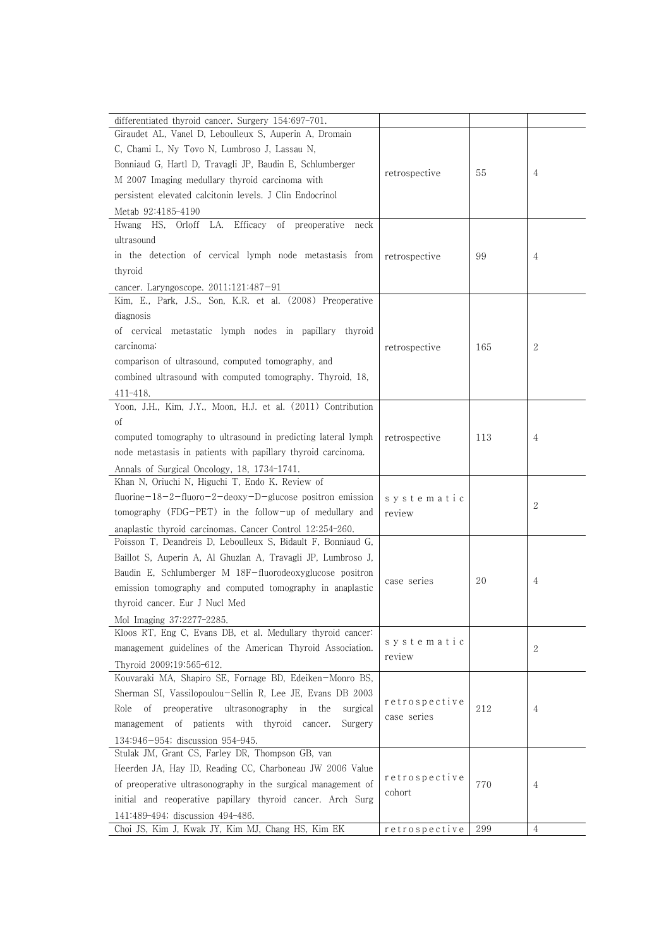| differentiated thyroid cancer. Surgery 154:697-701.                                      |               |     |                |
|------------------------------------------------------------------------------------------|---------------|-----|----------------|
| Giraudet AL, Vanel D, Leboulleux S, Auperin A, Dromain                                   |               |     |                |
| C, Chami L, Ny Tovo N, Lumbroso J, Lassau N,                                             |               |     |                |
| Bonniaud G, Hartl D, Travagli JP, Baudin E, Schlumberger                                 |               |     |                |
| M 2007 Imaging medullary thyroid carcinoma with                                          | retrospective | 55  | 4              |
| persistent elevated calcitonin levels. J Clin Endocrinol                                 |               |     |                |
|                                                                                          |               |     |                |
| Metab 92:4185-4190                                                                       |               |     |                |
| LA.<br>Efficacy<br>Hwang HS,<br>of preoperative<br>Orloff<br>neck                        |               |     |                |
| ultrasound                                                                               |               |     |                |
| in the detection of cervical lymph node metastasis from                                  | retrospective | 99  | 4              |
| thyroid                                                                                  |               |     |                |
| cancer. Laryngoscope. $2011;121:487-91$                                                  |               |     |                |
| Kim, E., Park, J.S., Son, K.R. et al. (2008) Preoperative                                |               |     |                |
| diagnosis                                                                                |               |     |                |
| of cervical metastatic lymph nodes in papillary thyroid                                  |               |     |                |
| carcinoma:                                                                               | retrospective | 165 | $\overline{2}$ |
| comparison of ultrasound, computed tomography, and                                       |               |     |                |
| combined ultrasound with computed tomography. Thyroid, 18,                               |               |     |                |
| $411 - 418.$                                                                             |               |     |                |
| Yoon, J.H., Kim, J.Y., Moon, H.J. et al. (2011) Contribution                             |               |     |                |
| οf                                                                                       |               |     |                |
| computed tomography to ultrasound in predicting lateral lymph                            | retrospective | 113 | 4              |
| node metastasis in patients with papillary thyroid carcinoma.                            |               |     |                |
| Annals of Surgical Oncology, 18, 1734-1741.                                              |               |     |                |
| Khan N, Oriuchi N, Higuchi T, Endo K. Review of                                          |               |     |                |
| fluorine $-18-2$ -fluoro $-2$ -deoxy $-D$ -glucose positron emission                     | systematic    |     |                |
| tomography (FDG-PET) in the follow-up of medullary and                                   | review        |     | 2              |
| anaplastic thyroid carcinomas. Cancer Control 12:254-260.                                |               |     |                |
| Poisson T, Deandreis D, Leboulleux S, Bidault F, Bonniaud G,                             |               |     |                |
| Baillot S, Auperin A, Al Ghuzlan A, Travagli JP, Lumbroso J,                             |               |     |                |
| Baudin E, Schlumberger M 18F-fluorodeoxyglucose positron                                 |               |     |                |
| emission tomography and computed tomography in anaplastic                                | case series   | 20  | 4              |
| thyroid cancer. Eur J Nucl Med                                                           |               |     |                |
|                                                                                          |               |     |                |
| Mol Imaging 37:2277-2285.<br>Kloos RT, Eng C, Evans DB, et al. Medullary thyroid cancer: |               |     |                |
| management guidelines of the American Thyroid Association.                               | systematic    |     | 2              |
|                                                                                          | review        |     |                |
| Thyroid 2009;19:565-612.<br>Kouvaraki MA, Shapiro SE, Fornage BD, Edeiken-Monro BS,      |               |     |                |
|                                                                                          |               |     |                |
| Sherman SI, Vassilopoulou-Sellin R, Lee JE, Evans DB 2003                                | retrospective |     |                |
| preoperative<br>ultrasonography<br>Role<br>οf<br>in<br>the<br>surgical                   | case series   | 212 | 4              |
| management of patients with thyroid cancer.<br>Surgery                                   |               |     |                |
| 134:946-954; discussion 954-945.                                                         |               |     |                |
| Stulak JM, Grant CS, Farley DR, Thompson GB, van                                         |               |     |                |
| Heerden JA, Hay ID, Reading CC, Charboneau JW 2006 Value                                 | retrospective |     |                |
| of preoperative ultrasonography in the surgical management of                            | cohort        | 770 | 4              |
| initial and reoperative papillary thyroid cancer. Arch Surg                              |               |     |                |
| 141:489-494; discussion 494-486.                                                         |               |     |                |
| Choi JS, Kim J, Kwak JY, Kim MJ, Chang HS, Kim EK                                        | retrospective | 299 | 4              |